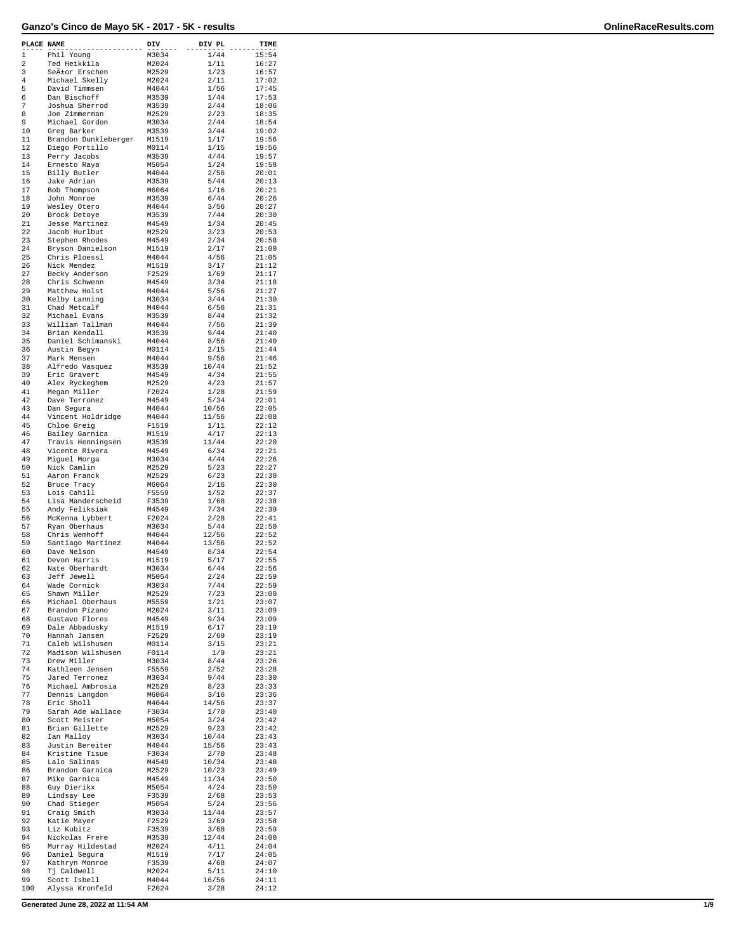| PLACE NAME  |                                    | DIV            | DIV PL        | TIME           |
|-------------|------------------------------------|----------------|---------------|----------------|
| $\mathbf 1$ | Phil Young                         | M3034          | 1/44          | 15:54          |
| 2           | Ted Heikkila                       | M2024          | 1/11          | 16:27          |
| 3           | Señor Erschen                      | M2529          | 1/23          | 16:57          |
| 4           | Michael Skelly                     | M2024          | 2/11          | 17:02          |
| 5<br>6      | David Timmsen<br>Dan Bischoff      | M4044<br>M3539 | 1/56<br>1/44  | 17:45          |
| 7           | Joshua Sherrod                     | M3539          | 2/44          | 17:53<br>18:06 |
| 8           | Joe Zimmerman                      | M2529          | 2/23          | 18:35          |
| 9           | Michael Gordon                     | M3034          | 2/44          | 18:54          |
| 10          | Greg Barker                        | M3539          | 3/44          | 19:02          |
| 11          | Brandon Dunkleberger               | M1519          | 1/17          | 19:56          |
| 12          | Diego Portillo                     | M0114          | 1/15          | 19:56          |
| 13          | Perry Jacobs                       | M3539          | 4/44          | 19:57          |
| 14          | Ernesto Raya                       | M5054          | 1/24          | 19:58          |
| 15          | Billy Butler                       | M4044          | 2/56          | 20:01          |
| 16          | Jake Adrian                        | M3539          | 5/44          | 20:13          |
| 17          | Bob Thompson                       | M6064          | 1/16          | 20:21          |
| 18<br>19    | John Monroe<br>Wesley Otero        | M3539<br>M4044 | 6/44<br>3/56  | 20:26<br>20:27 |
| 20          | Brock Detoye                       | M3539          | 7/44          | 20:30          |
| 21          | Jesse Martinez                     | M4549          | 1/34          | 20:45          |
| 22          | Jacob Hurlbut                      | M2529          | 3/23          | 20:53          |
| 23          | Stephen Rhodes                     | M4549          | 2/34          | 20:58          |
| 24          | Bryson Danielson                   | M1519          | 2/17          | 21:00          |
| 25          | Chris Ploessl                      | M4044          | 4/56          | 21:05          |
| 26          | Nick Mendez                        | M1519          | 3/17          | 21:12          |
| 27          | Becky Anderson                     | F2529          | 1/69          | 21:17          |
| 28          | Chris Schwenn                      | M4549          | 3/34          | 21:18          |
| 29          | Matthew Holst                      | M4044          | 5/56          | 21:27          |
| 30          | Kelby Lanning                      | M3034          | 3/44          | 21:30          |
| 31          | Chad Metcalf                       | M4044          | 6/56          | 21:31          |
| 32          | Michael Evans                      | M3539          | 8/44          | 21:32          |
| 33          | William Tallman                    | M4044          | 7/56          | 21:39          |
| 34          | Brian Kendall                      | M3539          | 9/44          | 21:40          |
| 35<br>36    | Daniel Schimanski                  | M4044<br>M0114 | 8/56<br>2/15  | 21:40          |
| 37          | Austin Begyn                       |                |               | 21:44          |
| 38          | Mark Mensen<br>Alfredo Vasquez     | M4044<br>M3539 | 9/56<br>10/44 | 21:46<br>21:52 |
| 39          | Eric Gravert                       | M4549          | 4/34          | 21:55          |
| 40          | Alex Ryckeghem                     | M2529          | 4/23          | 21:57          |
| 41          | Megan Miller                       | F2024          | 1/28          | 21:59          |
| 42          | Dave Terronez                      | M4549          | 5/34          | 22:01          |
| 43          | Dan Segura                         | M4044          | 10/56         | 22:05          |
| 44          | Vincent Holdridge                  | M4044          | 11/56         | 22:08          |
| 45          | Chloe Greig                        | F1519          | 1/11          | 22:12          |
| 46          | Bailey Garnica                     | M1519          | 4/17          | 22:13          |
| 47          | Travis Henningsen                  | M3539          | 11/44         | 22:20          |
| 48          | Vicente Rivera                     | M4549          | 6/34          | 22:21          |
| 49          | Miguel Morga                       | M3034          | 4/44          | 22:26          |
| 50          | Nick Camlin                        | M2529          | 5/23          | 22:27          |
| 51          | Aaron Franck                       | M2529          | 6/23          | 22:30          |
| 52          | Bruce Tracy                        | M6064          | 2/16          | 22:30          |
| 53          | Lois Cahill                        | F5559          | 1/52          | 22:37          |
| 54          | Lisa Manderscheid                  | F3539          | 1/68          | 22:38          |
| 55          | Andy Feliksiak                     | M4549          | 7/34          | 22:39          |
| 56          | McKenna Lybbert                    | F2024          | 2/28          | 22:41          |
| 57          | Ryan Oberhaus                      | M3034          | 5/44          | 22:50          |
| 58          | Chris Wemhoff                      | M4044          | 12/56         | 22:52          |
| 59          | Santiago Martinez                  | M4044          | 13/56         | 22:52          |
| 60          | Dave Nelson                        | M4549          | 8/34          | 22:54          |
| 61<br>62    | Devon Harris                       | M1519<br>M3034 | 5/17<br>6/44  | 22:55<br>22:56 |
| 63          | Nate Oberhardt<br>Jeff Jewell      | M5054          | 2/24          | 22:59          |
| 64          | Wade Cornick                       | M3034          | 7/44          | 22:59          |
| 65          | Shawn Miller                       | M2529          | 7/23          | 23:00          |
| 66          | Michael Oberhaus                   | M5559          | 1/21          | 23:07          |
| 67          | Brandon Pizano                     | M2024          | 3/11          | 23:09          |
| 68          | Gustavo Flores                     | M4549          | 9/34          | 23:09          |
| 69          | Dale Abbadusky                     | M1519          | 6/17          | 23:19          |
| 70          | Hannah Jansen                      | F2529          | 2/69          | 23:19          |
| 71          | Caleb Wilshusen                    | M0114          | 3/15          | 23:21          |
| 72          | Madison Wilshusen                  | F0114          | 1/9           | 23:21          |
| 73          | Drew Miller                        | M3034          | 8/44          | 23:26          |
| 74          | Kathleen Jensen                    | F5559          | 2/52          | 23:28          |
| 75          | Jared Terronez                     | M3034          | 9/44          | 23:30          |
| 76          | Michael Ambrosia                   | M2529          | 8/23          | 23:33          |
| 77          | Dennis Langdon                     | M6064          | 3/16          | 23:36          |
| 78<br>79    | Eric Sholl                         | M4044          | 14/56         | 23:37          |
| 80          | Sarah Ade Wallace<br>Scott Meister | F3034<br>M5054 | 1/70<br>3/24  | 23:40<br>23:42 |
| 81          | Brian Gillette                     | M2529          | 9/23          | 23:42          |
| 82          | Ian Malloy                         | M3034          | 10/44         | 23:43          |
| 83          | Justin Bereiter                    | M4044          | 15/56         | 23:43          |
| 84          | Kristine Tisue                     | F3034          | 2/70          | 23:48          |
| 85          | Lalo Salinas                       | M4549          | 10/34         | 23:48          |
| 86          | Brandon Garnica                    | M2529          | 10/23         | 23:49          |
| 87          | Mike Garnica                       | M4549          | 11/34         | 23:50          |
| 88          | Guy Dierikx                        | M5054          | 4/24          | 23:50          |
| 89          | Lindsay Lee                        | F3539          | 2/68          | 23:53          |
| 90          | Chad Stieger                       | M5054          | 5/24          | 23:56          |
| 91          | Craig Smith                        | M3034          | 11/44         | 23:57          |
| 92          | Katie Mayer                        | F2529          | 3/69          | 23:58          |
| 93          | Liz Kubitz                         | F3539          | 3/68          | 23:59          |
| 94          | Nickolas Frere                     | M3539          | 12/44         | 24:00          |
| 95          | Murray Hildestad                   | M2024          | 4/11          | 24:04          |
| 96          | Daniel Segura                      | M1519          | 7/17          | 24:05          |
| 97          | Kathryn Monroe                     | F3539          | 4/68          | 24:07          |
| 98          | Tj Caldwell                        | M2024          | 5/11          | 24:10          |
| 99          | Scott Isbell                       | M4044          | 16/56         | 24:11          |
| 100         | Alyssa Kronfeld                    | F2024          | 3/28          | 24:12          |

**Generated June 28, 2022 at 11:54 AM 1/9**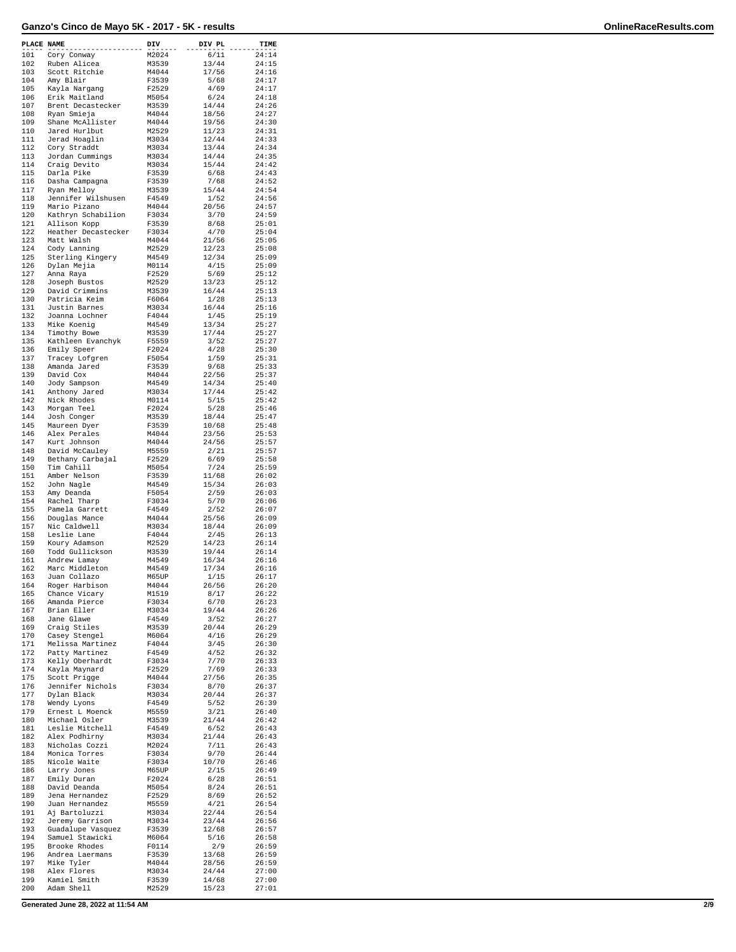| PLACE NAME |                                      | DIV            | DIV PL         | TIME           |
|------------|--------------------------------------|----------------|----------------|----------------|
| 101        | Cory Conway                          | M2024          | 6/11           | 24:14          |
| 102<br>103 | Ruben Alicea<br>Scott Ritchie        | M3539<br>M4044 | 13/44<br>17/56 | 24:15<br>24:16 |
| 104        | Amy Blair                            | F3539          | 5/68           | 24:17          |
| 105        | Kayla Nargang                        | F2529          | 4/69           | 24:17          |
| 106<br>107 | Erik Maitland<br>Brent Decastecker   | M5054<br>M3539 | 6/24<br>14/44  | 24:18<br>24:26 |
| 108        | Ryan Smieja                          | M4044          | 18/56          | 24:27          |
| 109<br>110 | Shane McAllister<br>Jared Hurlbut    | M4044<br>M2529 | 19/56<br>11/23 | 24:30<br>24:31 |
| 111        | Jerad Hoaglin                        | M3034          | 12/44          | 24:33          |
| 112        | Cory Straddt                         | M3034          | 13/44          | 24:34          |
| 113<br>114 | Jordan Cummings<br>Craig Devito      | M3034<br>M3034 | 14/44<br>15/44 | 24:35<br>24:42 |
| 115        | Darla Pike                           | F3539          | 6/68           | 24:43          |
| 116<br>117 | Dasha Campagna<br>Ryan Melloy        | F3539<br>M3539 | 7/68<br>15/44  | 24:52<br>24:54 |
| 118        | Jennifer Wilshusen                   | F4549          | 1/52           | 24:56          |
| 119        | Mario Pizano                         | M4044          | 20/56          | 24:57          |
| 120<br>121 | Kathryn Schabilion<br>Allison Kopp   | F3034<br>F3539 | 3/70<br>8/68   | 24:59<br>25:01 |
| 122        | Heather Decastecker                  | F3034          | 4/70           | 25:04          |
| 123<br>124 | Matt Walsh<br>Cody Lanning           | M4044<br>M2529 | 21/56<br>12/23 | 25:05<br>25:08 |
| 125        | Sterling Kingery                     | M4549          | 12/34          | 25:09          |
| 126        | Dylan Mejia                          | M0114          | 4/15           | 25:09          |
| 127<br>128 | Anna Raya<br>Joseph Bustos           | F2529<br>M2529 | 5/69<br>13/23  | 25:12<br>25:12 |
| 129        | David Crimmins                       | M3539          | 16/44          | 25:13          |
| 130<br>131 | Patricia Keim<br>Justin Barnes       | F6064<br>M3034 | 1/28<br>16/44  | 25:13<br>25:16 |
| 132        | Joanna Lochner                       | F4044          | 1/45           | 25:19          |
| 133        | Mike Koenig                          | M4549          | 13/34          | 25:27          |
| 134<br>135 | Timothy Bowe<br>Kathleen Evanchyk    | M3539<br>F5559 | 17/44<br>3/52  | 25:27<br>25:27 |
| 136        | Emily Speer                          | F2024          | 4/28           | 25:30          |
| 137<br>138 | Tracey Lofgren<br>Amanda Jared       | F5054<br>F3539 | 1/59<br>9/68   | 25:31<br>25:33 |
| 139        | David Cox                            | M4044          | 22/56          | 25:37          |
| 140        | Jody Sampson                         | M4549          | 14/34          | 25:40          |
| 141<br>142 | Anthony Jared<br>Nick Rhodes         | M3034<br>M0114 | 17/44<br>5/15  | 25:42<br>25:42 |
| 143        | Morgan Teel                          | F2024          | 5/28           | 25:46          |
| 144<br>145 | Josh Conger<br>Maureen Dyer          | M3539<br>F3539 | 18/44<br>10/68 | 25:47<br>25:48 |
| 146        | Alex Perales                         | M4044          | 23/56          | 25:53          |
| 147<br>148 | Kurt Johnson                         | M4044          | 24/56          | 25:57<br>25:57 |
| 149        | David McCauley<br>Bethany Carbajal   | M5559<br>F2529 | 2/21<br>6/69   | 25:58          |
| 150        | Tim Cahill                           | M5054          | 7/24           | 25:59          |
| 151<br>152 | Amber Nelson<br>John Nagle           | F3539<br>M4549 | 11/68<br>15/34 | 26:02<br>26:03 |
| 153        | Amy Deanda                           | F5054          | 2/59           | 26:03          |
| 154<br>155 | Rachel Tharp<br>Pamela Garrett       | F3034<br>F4549 | 5/70<br>2/52   | 26:06<br>26:07 |
| 156        | Douglas Mance                        | M4044          | 25/56          | 26:09          |
| 157<br>158 | Nic Caldwell<br>Leslie Lane          | M3034<br>F4044 | 18/44<br>2/45  | 26:09<br>26:13 |
| 159        | Koury Adamson                        | M2529          | 14/23          | 26:14          |
| 160        | Todd Gullickson                      | M3539          | 19/44          | 26:14          |
| 161<br>162 | Andrew Lamay<br>Marc Middleton       | M4549<br>M4549 | 16/34<br>17/34 | 26:16<br>26:16 |
| 163        | Juan Collazo                         | M65UP          | 1/15           | 26:17          |
| 164<br>165 | Roger Harbison<br>Chance Vicary      | M4044<br>M1519 | 26/56<br>8/17  | 26:20<br>26:22 |
| 166        | Amanda Pierce                        | F3034          | 6/70           | 26:23          |
| 167<br>168 | Brian Eller                          | M3034<br>F4549 | 19/44          | 26:26          |
| 169        | Jane Glawe<br>Craig Stiles           | M3539          | 3/52<br>20/44  | 26:27<br>26:29 |
| 170        | Casey Stengel                        | M6064          | 4/16           | 26:29          |
| 171<br>172 | Melissa Martinez<br>Patty Martinez   | F4044<br>F4549 | 3/45<br>4/52   | 26:30<br>26:32 |
| 173        | Kelly Oberhardt                      | F3034          | 7/70           | 26:33          |
| 174<br>175 | Kayla Maynard<br>Scott Prigge        | F2529<br>M4044 | 7/69<br>27/56  | 26:33<br>26:35 |
| 176        | Jennifer Nichols                     | F3034          | 8/70           | 26:37          |
| 177        | Dylan Black                          | M3034          | 20/44          | 26:37          |
| 178<br>179 | Wendy Lyons<br>Ernest L Moenck       | F4549<br>M5559 | 5/52<br>3/21   | 26:39<br>26:40 |
| 180        | Michael Osler                        | M3539          | 21/44          | 26:42          |
| 181<br>182 | Leslie Mitchell<br>Alex Podhirny     | F4549<br>M3034 | 6/52<br>21/44  | 26:43<br>26:43 |
| 183        | Nicholas Cozzi                       | M2024          | 7/11           | 26:43          |
| 184        | Monica Torres                        | F3034          | 9/70           | 26:44          |
| 185<br>186 | Nicole Waite<br>Larry Jones          | F3034<br>M65UP | 10/70<br>2/15  | 26:46<br>26:49 |
| 187        | Emily Duran                          | F2024          | 6/28           | 26:51          |
| 188<br>189 | David Deanda<br>Jena Hernandez       | M5054<br>F2529 | 8/24<br>8/69   | 26:51<br>26:52 |
| 190        | Juan Hernandez                       | M5559          | 4/21           | 26:54          |
| 191<br>192 | Aj Bartoluzzi                        | M3034<br>M3034 | 22/44          | 26:54<br>26:56 |
| 193        | Jeremy Garrison<br>Guadalupe Vasquez | F3539          | 23/44<br>12/68 | 26:57          |
| 194        | Samuel Stawicki                      | M6064          | $5/16$         | 26:58          |
| 195<br>196 | Brooke Rhodes<br>Andrea Laermans     | F0114<br>F3539 | 2/9<br>13/68   | 26:59<br>26:59 |
| 197        | Mike Tyler                           | M4044          | 28/56          | 26:59          |
| 198<br>199 | Alex Flores<br>Kamiel Smith          | M3034<br>F3539 | 24/44<br>14/68 | 27:00<br>27:00 |
| 200        | Adam Shell                           | M2529          | 15/23          | 27:01          |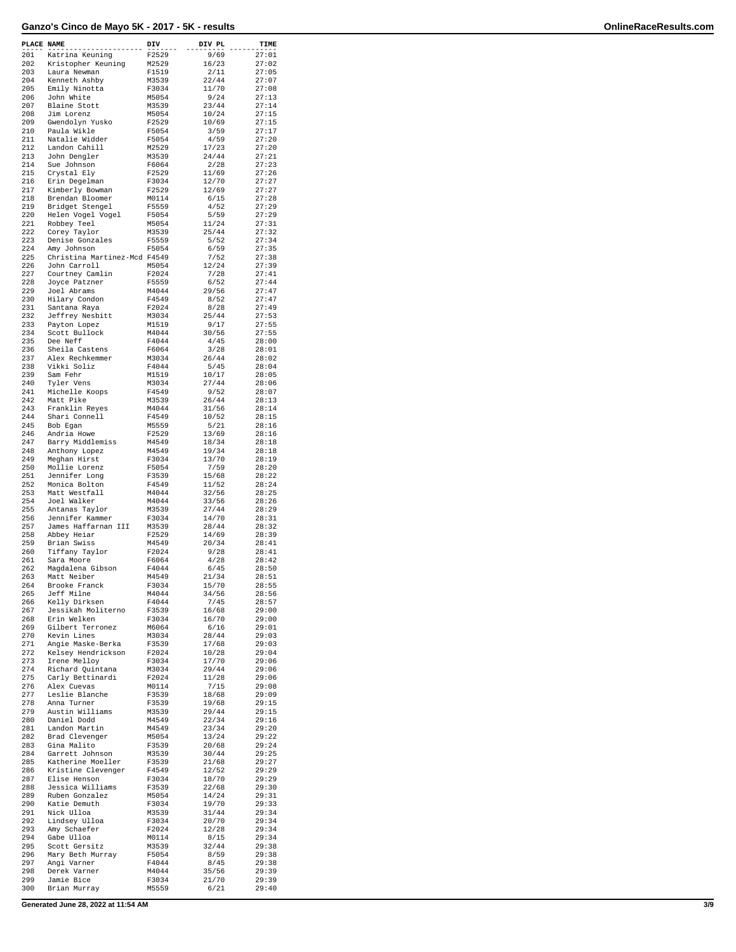| PLACE NAME |                                             | $\mathbf{D}\mathbf{IV}_{---}$ | DIV PL         | TIME           |
|------------|---------------------------------------------|-------------------------------|----------------|----------------|
| 201        | Katrina Keuning                             | F2529                         | 9/69           | 27:01          |
| 202<br>203 | Kristopher Keuning<br>Laura Newman          | M2529<br>F1519                | 16/23<br>2/11  | 27:02<br>27:05 |
| 204        | Kenneth Ashby                               | M3539                         | 22/44          | 27:07          |
| 205        | Emily Ninotta                               | F3034                         | 11/70          | 27:08          |
| 206<br>207 | John White<br>Blaine Stott                  | M5054<br>M3539                | 9/24<br>23/44  | 27:13<br>27:14 |
| 208        | Jim Lorenz                                  | M5054                         | 10/24          | 27:15          |
| 209        | Gwendolyn Yusko                             | F2529                         | 10/69          | 27:15          |
| 210        | Paula Wikle                                 | F5054                         | 3/59           | 27:17          |
| 211<br>212 | Natalie Widder<br>Landon Cahill             | F5054<br>M2529                | 4/59<br>17/23  | 27:20<br>27:20 |
| 213        | John Dengler                                | M3539                         | 24/44          | 27:21          |
| 214        | Sue Johnson                                 | F6064                         | 2/28           | 27:23          |
| 215<br>216 | Crystal Ely<br>Erin Degelman                | F2529<br>F3034                | 11/69<br>12/70 | 27:26<br>27:27 |
| 217        | Kimberly Bowman                             | F2529                         | 12/69          | 27:27          |
| 218        | Brendan Bloomer                             | M0114                         | 6/15           | 27:28          |
| 219<br>220 | Bridget Stengel                             | F5559<br>F5054                | 4/52<br>5/59   | 27:29          |
| 221        | Helen Vogel Vogel<br>Robbey Teel            | M5054                         | 11/24          | 27:29<br>27:31 |
| 222        | Corey Taylor                                | M3539                         | 25/44          | 27:32          |
| 223        | Denise Gonzales                             | F5559                         | 5/52           | 27:34          |
| 224<br>225 | Amy Johnson<br>Christina Martinez-Mcd F4549 | F5054                         | 6/59<br>7/52   | 27:35<br>27:38 |
| 226        | John Carroll                                | M5054                         | 12/24          | 27:39          |
| 227        | Courtney Camlin                             | F2024                         | 7/28           | 27:41          |
| 228<br>229 | Joyce Patzner<br>Joel Abrams                | F5559<br>M4044                | 6/52<br>29/56  | 27:44<br>27:47 |
| 230        | Hilary Condon                               | F4549                         | 8/52           | 27:47          |
| 231        | Santana Raya                                | F2024                         | 8/28           | 27:49          |
| 232        | Jeffrey Nesbitt                             | M3034                         | 25/44          | 27:53          |
| 233<br>234 | Payton Lopez<br>Scott Bullock               | M1519<br>M4044                | 9/17<br>30/56  | 27:55<br>27:55 |
| 235        | Dee Neff                                    | F4044                         | 4/45           | 28:00          |
| 236        | Sheila Castens                              | F6064                         | 3/28           | 28:01          |
| 237<br>238 | Alex Rechkemmer<br>Vikki Soliz              | M3034<br>F4044                | 26/44<br>5/45  | 28:02<br>28:04 |
| 239        | Sam Fehr                                    | M1519                         | 10/17          | 28:05          |
| 240        | Tyler Vens                                  | M3034                         | 27/44          | 28:06          |
| 241<br>242 | Michelle Koops<br>Matt Pike                 | F4549<br>M3539                | 9/52<br>26/44  | 28:07<br>28:13 |
| 243        | Franklin Reyes                              | M4044                         | 31/56          | 28:14          |
| 244        | Shari Connell                               | F4549                         | 10/52          | 28:15          |
| 245        | Bob Egan                                    | M5559                         | 5/21           | 28:16          |
| 246<br>247 | Andria Howe<br>Barry Middlemiss             | F2529<br>M4549                | 13/69<br>18/34 | 28:16<br>28:18 |
| 248        | Anthony Lopez                               | M4549                         | 19/34          | 28:18          |
| 249        | Meghan Hirst                                | F3034                         | 13/70          | 28:19          |
| 250<br>251 | Mollie Lorenz<br>Jennifer Long              | F5054<br>F3539                | 7/59<br>15/68  | 28:20<br>28:22 |
| 252        | Monica Bolton                               | F4549                         | 11/52          | 28:24          |
| 253        | Matt Westfall                               | M4044                         | 32/56          | 28:25          |
| 254<br>255 | Joel Walker                                 | M4044                         | 33/56<br>27/44 | 28:26          |
| 256        | Antanas Taylor<br>Jennifer Kammer           | M3539<br>F3034                | 14/70          | 28:29<br>28:31 |
| 257        | James Haffarnan III                         | M3539                         | 28/44          | 28:32          |
| 258        | Abbey Heiar                                 | F2529                         | 14/69          | 28:39          |
| 259<br>260 | Brian Swiss<br>Tiffany Taylor               | M4549<br>F2024                | 20/34<br>9/28  | 28:41<br>28:41 |
| 261        | Sara Moore                                  | F6064                         | 4/28           | 28:42          |
| 262        | Magdalena Gibson                            | F4044                         | 6/45           | 28:50          |
| 263<br>264 | Matt Neiber<br>Brooke Franck                | M4549<br>F3034                | 21/34<br>15/70 | 28:51<br>28:55 |
| 265        | Jeff Milne                                  | M4044                         | 34/56          | 28:56          |
| 266        | Kelly Dirksen                               | F4044                         | 7/45           | 28:57          |
| 267        | Jessikah Moliterno                          | F3539                         | 16/68          | 29:00          |
| 268<br>269 | Erin Welken<br>Gilbert Terronez             | F3034<br>M6064                | 16/70<br>6/16  | 29:00<br>29:01 |
| 270        | Kevin Lines                                 | M3034                         | 28/44          | 29:03          |
| 271        | Angie Maske-Berka                           | F3539                         | 17/68          | 29:03          |
| 272<br>273 | Kelsey Hendrickson<br>Irene Melloy          | F2024<br>F3034                | 10/28<br>17/70 | 29:04<br>29:06 |
| 274        | Richard Quintana                            | M3034                         | 29/44          | 29:06          |
| 275        | Carly Bettinardi                            | F2024                         | 11/28          | 29:06          |
| 276<br>277 | Alex Cuevas<br>Leslie Blanche               | M0114<br>F3539                | 7/15<br>18/68  | 29:08<br>29:09 |
| 278        | Anna Turner                                 | F3539                         | 19/68          | 29:15          |
| 279        | Austin Williams                             | M3539                         | 29/44          | 29:15          |
| 280        | Daniel Dodd                                 | M4549                         | 22/34          | 29:16          |
| 281<br>282 | Landon Martin<br>Brad Clevenger             | M4549<br>M5054                | 23/34<br>13/24 | 29:20<br>29:22 |
| 283        | Gina Malito                                 | F3539                         | 20/68          | 29:24          |
| 284        | Garrett Johnson                             | M3539                         | 30/44          | 29:25          |
| 285<br>286 | Katherine Moeller<br>Kristine Clevenger     | F3539<br>F4549                | 21/68<br>12/52 | 29:27<br>29:29 |
| 287        | Elise Henson                                | F3034                         | 18/70          | 29:29          |
| 288        | Jessica Williams                            | F3539                         | 22/68          | 29:30          |
| 289        | Ruben Gonzalez                              | M5054                         | 14/24          | 29:31          |
| 290<br>291 | Katie Demuth<br>Nick Ulloa                  | F3034<br>M3539                | 19/70<br>31/44 | 29:33<br>29:34 |
| 292        | Lindsey Ulloa                               | F3034                         | 20/70          | 29:34          |
| 293        | Amy Schaefer                                | F2024                         | 12/28          | 29:34          |
| 294<br>295 | Gabe Ulloa<br>Scott Gersitz                 | M0114<br>M3539                | 8/15<br>32/44  | 29:34<br>29:38 |
| 296        | Mary Beth Murray                            | F5054                         | 8/59           | 29:38          |
| 297        | Angi Varner                                 | F4044                         | 8/45           | 29:38          |
| 298        | Derek Varner                                | M4044                         | 35/56          | 29:39          |
| 299<br>300 | Jamie Bice<br>Brian Murray                  | F3034<br>M5559                | 21/70<br>6/21  | 29:39<br>29:40 |

**Generated June 28, 2022 at 11:54 AM 3/9**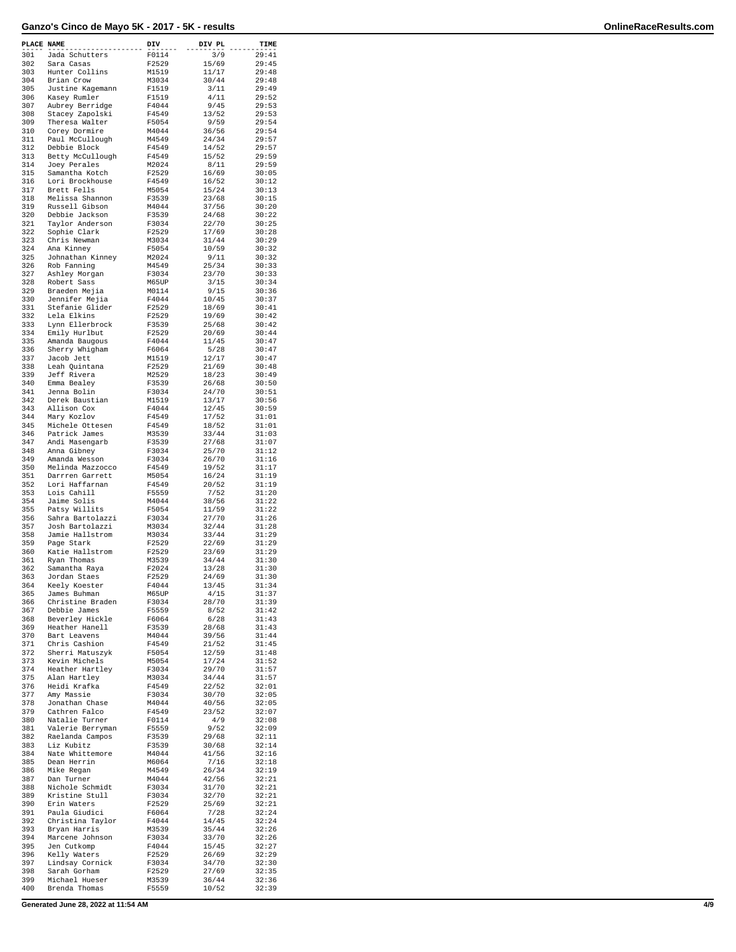| PLACE NAME |                                    | DIV            | DIV PL         | TIME           |
|------------|------------------------------------|----------------|----------------|----------------|
| 301        | Jada Schutters                     | F0114          | 3/9            | 29:41          |
| 302        | Sara Casas                         | F2529          | 15/69          | 29:45          |
| 303<br>304 | Hunter Collins<br>Brian Crow       | M1519<br>M3034 | 11/17<br>30/44 | 29:48<br>29:48 |
| 305        | Justine Kagemann                   | F1519          | 3/11           | 29:49          |
| 306        | Kasey Rumler                       | F1519          | 4/11           | 29:52          |
| 307        | Aubrey Berridge                    | F4044          | 9/45           | 29:53          |
| 308<br>309 | Stacey Zapolski                    | F4549          | 13/52          | 29:53          |
| 310        | Theresa Walter<br>Corey Dormire    | F5054<br>M4044 | 9/59<br>36/56  | 29:54<br>29:54 |
| 311        | Paul McCullough                    | M4549          | 24/34          | 29:57          |
| 312        | Debbie Block                       | F4549          | 14/52          | 29:57          |
| 313        | Betty McCullough                   | F4549          | 15/52          | 29:59          |
| 314<br>315 | Joey Perales<br>Samantha Kotch     | M2024<br>F2529 | 8/11<br>16/69  | 29:59<br>30:05 |
| 316        | Lori Brockhouse                    | F4549          | 16/52          | 30:12          |
| 317        | Brett Fells                        | M5054          | 15/24          | 30:13          |
| 318        | Melissa Shannon                    | F3539          | 23/68          | 30:15          |
| 319<br>320 | Russell Gibson                     | M4044          | 37/56          | 30:20          |
| 321        | Debbie Jackson<br>Taylor Anderson  | F3539<br>F3034 | 24/68<br>22/70 | 30:22<br>30:25 |
| 322        | Sophie Clark                       | F2529          | 17/69          | 30:28          |
| 323        | Chris Newman                       | M3034          | 31/44          | 30:29          |
| 324<br>325 | Ana Kinney                         | F5054          | 10/59<br>9/11  | 30:32          |
| 326        | Johnathan Kinney<br>Rob Fanning    | M2024<br>M4549 | 25/34          | 30:32<br>30:33 |
| 327        | Ashley Morgan                      | F3034          | 23/70          | 30:33          |
| 328        | Robert Sass                        | M65UP          | 3/15           | 30:34          |
| 329        | Braeden Mejia                      | M0114          | 9/15           | 30:36          |
| 330<br>331 | Jennifer Mejia<br>Stefanie Glider  | F4044<br>F2529 | 10/45<br>18/69 | 30:37<br>30:41 |
| 332        | Lela Elkins                        | F2529          | 19/69          | 30:42          |
| 333        | Lynn Ellerbrock                    | F3539          | 25/68          | 30:42          |
| 334        | Emily Hurlbut                      | F2529          | 20/69          | 30:44          |
| 335<br>336 | Amanda Baugous                     | F4044          | 11/45          | 30:47          |
| 337        | Sherry Whigham<br>Jacob Jett       | F6064<br>M1519 | 5/28<br>12/17  | 30:47<br>30:47 |
| 338        | Leah Quintana                      | F2529          | 21/69          | 30:48          |
| 339        | Jeff Rivera                        | M2529          | 18/23          | 30:49          |
| 340        | Emma Bealey                        | F3539          | 26/68          | 30:50          |
| 341<br>342 | Jenna Bolin<br>Derek Baustian      | F3034<br>M1519 | 24/70<br>13/17 | 30:51<br>30:56 |
| 343        | Allison Cox                        | F4044          | 12/45          | 30:59          |
| 344        | Mary Kozlov                        | F4549          | 17/52          | 31:01          |
| 345        | Michele Ottesen                    | F4549          | 18/52          | 31:01          |
| 346        | Patrick James                      | M3539          | 33/44          | 31:03          |
| 347<br>348 | Andi Masengarb<br>Anna Gibney      | F3539<br>F3034 | 27/68<br>25/70 | 31:07<br>31:12 |
| 349        | Amanda Wesson                      | F3034          | 26/70          | 31:16          |
| 350        | Melinda Mazzocco                   | F4549          | 19/52          | 31:17          |
| 351        | Darrren Garrett                    | M5054          | 16/24          | 31:19          |
| 352<br>353 | Lori Haffarnan<br>Lois Cahill      | F4549<br>F5559 | 20/52<br>7/52  | 31:19<br>31:20 |
| 354        | Jaime Solis                        | M4044          | 38/56          | 31:22          |
| 355        | Patsy Willits                      | F5054          | 11/59          | 31:22          |
| 356        | Sahra Bartolazzi                   | F3034          | 27/70          | 31:26          |
| 357<br>358 | Josh Bartolazzi<br>Jamie Hallstrom | M3034<br>M3034 | 32/44<br>33/44 | 31:28<br>31:29 |
| 359        | Page Stark                         | F2529          | 22/69          | 31:29          |
| 360        | Katie Hallstrom                    | F2529          | 23/69          | 31:29          |
| 361        | Ryan Thomas                        | M3539          | 34/44          | 31:30          |
| 362        | Samantha Raya                      | F2024          | 13/28          | 31:30          |
| 363<br>364 | Jordan Staes<br>Keely Koester      | F2529<br>F4044 | 24/69<br>13/45 | 31:30<br>31:34 |
| 365        | James Buhman                       | M65UP          | 4/15           | 31:37          |
| 366        | Christine Braden                   | F3034          | 28/70          | 31:39          |
| 367        | Debbie James                       | F5559<br>F6064 | 8/52           | 31:42          |
| 368<br>369 | Beverley Hickle<br>Heather Hanell  | F3539          | 6/28<br>28/68  | 31:43<br>31:43 |
| 370        | Bart Leavens                       | M4044          | 39/56          | 31:44          |
| 371        | Chris Cashion                      | F4549          | 21/52          | 31:45          |
| 372        | Sherri Matuszyk                    | F5054          | 12/59          | 31:48          |
| 373<br>374 | Kevin Michels<br>Heather Hartley   | M5054<br>F3034 | 17/24<br>29/70 | 31:52<br>31:57 |
| 375        | Alan Hartley                       | M3034          | 34/44          | 31:57          |
| 376        | Heidi Krafka                       | F4549          | 22/52          | 32:01          |
| 377        | Amy Massie                         | F3034          | 30/70          | 32:05          |
| 378<br>379 | Jonathan Chase<br>Cathren Falco    | M4044<br>F4549 | 40/56<br>23/52 | 32:05<br>32:07 |
| 380        | Natalie Turner                     | F0114          | 4/9            | 32:08          |
| 381        | Valerie Berryman                   | F5559          | 9/52           | 32:09          |
| 382        | Raelanda Campos                    | F3539          | 29/68          | 32:11          |
| 383<br>384 | Liz Kubitz                         | F3539          | 30/68          | 32:14          |
| 385        | Nate Whittemore<br>Dean Herrin     | M4044<br>M6064 | 41/56<br>7/16  | 32:16<br>32:18 |
| 386        | Mike Regan                         | M4549          | 26/34          | 32:19          |
| 387        | Dan Turner                         | M4044          | 42/56          | 32:21          |
| 388        | Nichole Schmidt                    | F3034          | 31/70          | 32:21          |
| 389<br>390 | Kristine Stull<br>Erin Waters      | F3034<br>F2529 | 32/70<br>25/69 | 32:21<br>32:21 |
| 391        | Paula Giudici                      | F6064          | 7/28           | 32:24          |
| 392        | Christina Taylor                   | F4044          | 14/45          | 32:24          |
| 393        | Bryan Harris                       | M3539          | 35/44          | 32:26          |
| 394        | Marcene Johnson                    | F3034          | 33/70          | 32:26          |
| 395<br>396 | Jen Cutkomp<br>Kelly Waters        | F4044<br>F2529 | 15/45<br>26/69 | 32:27<br>32:29 |
| 397        | Lindsay Cornick                    | F3034          | 34/70          | 32:30          |
| 398        | Sarah Gorham                       | F2529          | 27/69          | 32:35          |
| 399        | Michael Hueser                     | M3539          | 36/44          | 32:36          |
| 400        | Brenda Thomas                      | F5559          | 10/52          | 32:39          |

**Generated June 28, 2022 at 11:54 AM 4/9**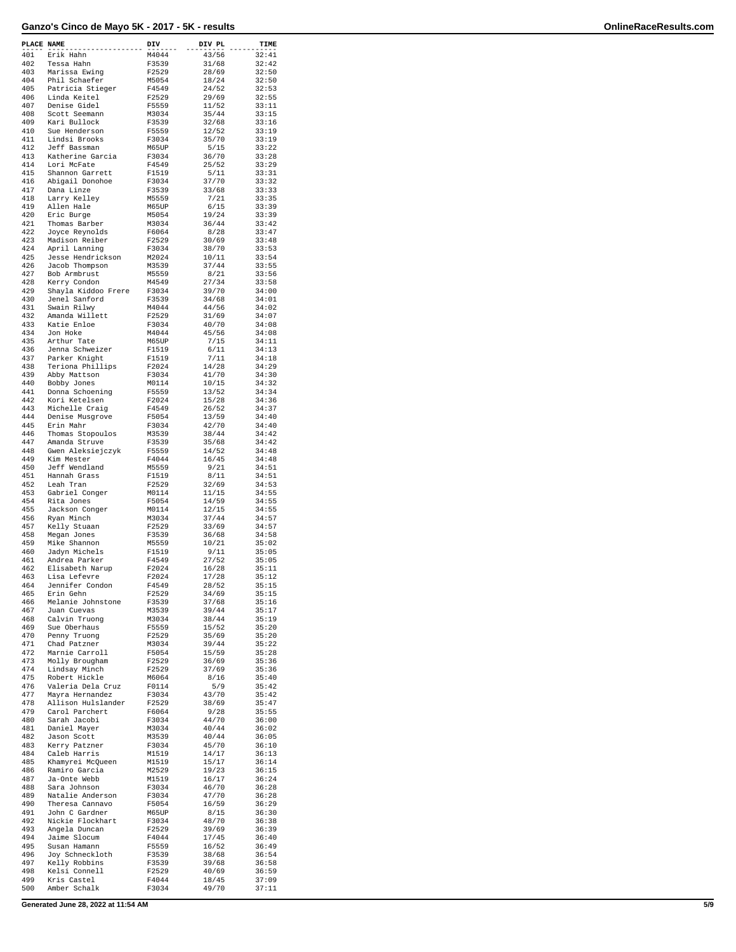| <b>PLACE NAME</b> |                                      | DIV            | DIV PL         | TIME           |
|-------------------|--------------------------------------|----------------|----------------|----------------|
| 401               | Erik Hahn                            | M4044          | 43/56          | 32:41          |
| 402               | Tessa Hahn                           | F3539          | 31/68          | 32:42          |
| 403               | Marissa Ewing                        | F2529          | 28/69          | 32:50          |
| 404               | Phil Schaefer                        | M5054          | 18/24          | 32:50          |
| 405<br>406        | Patricia Stieger<br>Linda Keitel     | F4549<br>F2529 | 24/52<br>29/69 | 32:53<br>32:55 |
| 407               | Denise Gidel                         | F5559          | 11/52          | 33:11          |
| 408               | Scott Seemann                        | M3034          | 35/44          | 33:15          |
| 409               | Kari Bullock                         | F3539          | 32/68          | 33:16          |
| 410               | Sue Henderson                        | F5559          | 12/52          | 33:19          |
| 411               | Lindsi Brooks                        | F3034          | 35/70          | 33:19          |
| 412               | Jeff Bassman                         | M65UP          | 5/15           | 33:22          |
| 413<br>414        | Katherine Garcia<br>Lori McFate      | F3034<br>F4549 | 36/70<br>25/52 | 33:28<br>33:29 |
| 415               | Shannon Garrett                      | F1519          | 5/11           | 33:31          |
| 416               | Abigail Donohoe                      | F3034          | 37/70          | 33:32          |
| 417               | Dana Linze                           | F3539          | 33/68          | 33:33          |
| 418               | Larry Kelley                         | M5559          | 7/21           | 33:35          |
| 419               | Allen Hale                           | M65UP          | 6/15           | 33:39          |
| 420               | Eric Burge                           | M5054          | 19/24          | 33:39          |
| 421<br>422        | Thomas Barber<br>Joyce Reynolds      | M3034<br>F6064 | 36/44<br>8/28  | 33:42<br>33:47 |
| 423               | Madison Reiber                       | F2529          | 30/69          | 33:48          |
| 424               | April Lanning                        | F3034          | 38/70          | 33:53          |
| 425               | Jesse Hendrickson                    | M2024          | 10/11          | 33:54          |
| 426               | Jacob Thompson                       | M3539          | 37/44          | 33:55          |
| 427               | Bob Armbrust                         | M5559          | 8/21           | 33:56          |
| 428               | Kerry Condon                         | M4549          | 27/34          | 33:58          |
| 429<br>430        | Shayla Kiddoo Frere<br>Jenel Sanford | F3034<br>F3539 | 39/70<br>34/68 | 34:00<br>34:01 |
| 431               | Swain Rilwy                          | M4044          | 44/56          | 34:02          |
| 432               | Amanda Willett                       | F2529          | 31/69          | 34:07          |
| 433               | Katie Enloe                          | F3034          | 40/70          | 34:08          |
| 434               | Jon Hoke                             | M4044          | 45/56          | 34:08          |
| 435               | Arthur Tate                          | M65UP          | 7/15           | 34:11          |
| 436               | Jenna Schweizer                      | F1519          | 6/11           | 34:13          |
| 437<br>438        | Parker Knight<br>Teriona Phillips    | F1519<br>F2024 | 7/11<br>14/28  | 34:18<br>34:29 |
| 439               | Abby Mattson                         | F3034          | 41/70          | 34:30          |
| 440               | Bobby Jones                          | M0114          | 10/15          | 34:32          |
| 441               | Donna Schoening                      | F5559          | 13/52          | 34:34          |
| 442               | Kori Ketelsen                        | F2024          | 15/28          | 34:36          |
| 443               | Michelle Craig                       | F4549          | 26/52          | 34:37          |
| 444               | Denise Musgrove                      | F5054          | 13/59          | 34:40          |
| 445<br>446        | Erin Mahr<br>Thomas Stopoulos        | F3034<br>M3539 | 42/70<br>38/44 | 34:40<br>34:42 |
| 447               | Amanda Struve                        | F3539          | 35/68          | 34:42          |
| 448               | Gwen Aleksiejczyk                    | F5559          | 14/52          | 34:48          |
| 449               | Kim Mester                           | F4044          | 16/45          | 34:48          |
| 450               | Jeff Wendland                        | M5559          | 9/21           | 34:51          |
| 451               | Hannah Grass                         | F1519          | 8/11           | 34:51          |
| 452<br>453        | Leah Tran<br>Gabriel Conger          | F2529<br>M0114 | 32/69<br>11/15 | 34:53<br>34:55 |
| 454               | Rita Jones                           | F5054          | 14/59          | 34:55          |
| 455               | Jackson Conger                       | M0114          | 12/15          | 34:55          |
| 456               | Ryan Minch                           | M3034          | 37/44          | 34:57          |
| 457               | Kelly Stuaan                         | F2529          | 33/69          | 34:57          |
| 458               | Megan Jones                          | F3539          | 36/68          | 34:58          |
| 459<br>460        | Mike Shannon                         | M5559          | 10/21          | 35:02          |
| 461               | Jadyn Michels<br>Andrea Parker       | F1519<br>F4549 | 9/11<br>27/52  | 35:05<br>35:05 |
| 462               | Elisabeth Narup                      | F2024          | 16/28          | 35:11          |
| 463               | Lisa Lefevre                         | F2024          | 17/28          | 35:12          |
| 464               | Jennifer Condon                      | F4549          | 28/52          | 35:15          |
| 465               | Erin Gehn                            | F2529          | 34/69          | 35:15          |
| 466               | Melanie Johnstone                    | F3539          | 37/68          | 35:16          |
| 467<br>468        | Juan Cuevas                          | M3539<br>M3034 | 39/44<br>38/44 | 35:17<br>35:19 |
| 469               | Calvin Truong<br>Sue Oberhaus        | F5559          | 15/52          | 35:20          |
| 470               | Penny Truong                         | F2529          | 35/69          | 35:20          |
| 471               | Chad Patzner                         | M3034          | 39/44          | 35:22          |
| 472               | Marnie Carroll                       | F5054          | 15/59          | 35:28          |
| 473               | Molly Brougham                       | F2529          | 36/69          | 35:36          |
| 474<br>475        | Lindsay Minch                        | F2529<br>M6064 | 37/69          | 35:36          |
| 476               | Robert Hickle<br>Valeria Dela Cruz   | F0114          | 8/16<br>5/9    | 35:40<br>35:42 |
| 477               | Mayra Hernandez                      | F3034          | 43/70          | 35:42          |
| 478               | Allison Hulslander                   | F2529          | 38/69          | 35:47          |
| 479               | Carol Parchert                       | F6064          | 9/28           | 35:55          |
| 480               | Sarah Jacobi                         | F3034          | 44/70          | 36:00          |
| 481               | Daniel Mayer                         | M3034          | 40/44          | 36:02          |
| 482<br>483        | Jason Scott                          | M3539<br>F3034 | 40/44<br>45/70 | 36:05          |
| 484               | Kerry Patzner<br>Caleb Harris        | M1519          | 14/17          | 36:10<br>36:13 |
| 485               | Khamyrei McQueen                     | M1519          | 15/17          | 36:14          |
| 486               | Ramiro Garcia                        | M2529          | 19/23          | 36:15          |
| 487               | Ja-Onte Webb                         | M1519          | 16/17          | 36:24          |
| 488               | Sara Johnson                         | F3034          | 46/70          | 36:28          |
| 489               | Natalie Anderson                     | F3034          | 47/70          | 36:28          |
| 490<br>491        | Theresa Cannavo<br>John C Gardner    | F5054          | 16/59          | 36:29          |
| 492               | Nickie Flockhart                     | M65UP<br>F3034 | 8/15<br>48/70  | 36:30<br>36:38 |
| 493               | Angela Duncan                        | F2529          | 39/69          | 36:39          |
| 494               | Jaime Slocum                         | F4044          | 17/45          | 36:40          |
| 495               | Susan Hamann                         | F5559          | 16/52          | 36:49          |
| 496               | Joy Schneckloth                      | F3539          | 38/68          | 36:54          |
| 497               | Kelly Robbins                        | F3539          | 39/68          | 36:58          |
| 498<br>499        | Kelsi Connell<br>Kris Castel         | F2529<br>F4044 | 40/69<br>18/45 | 36:59<br>37:09 |
| 500               | Amber Schalk                         | F3034          | 49/70          | 37:11          |
|                   |                                      |                |                |                |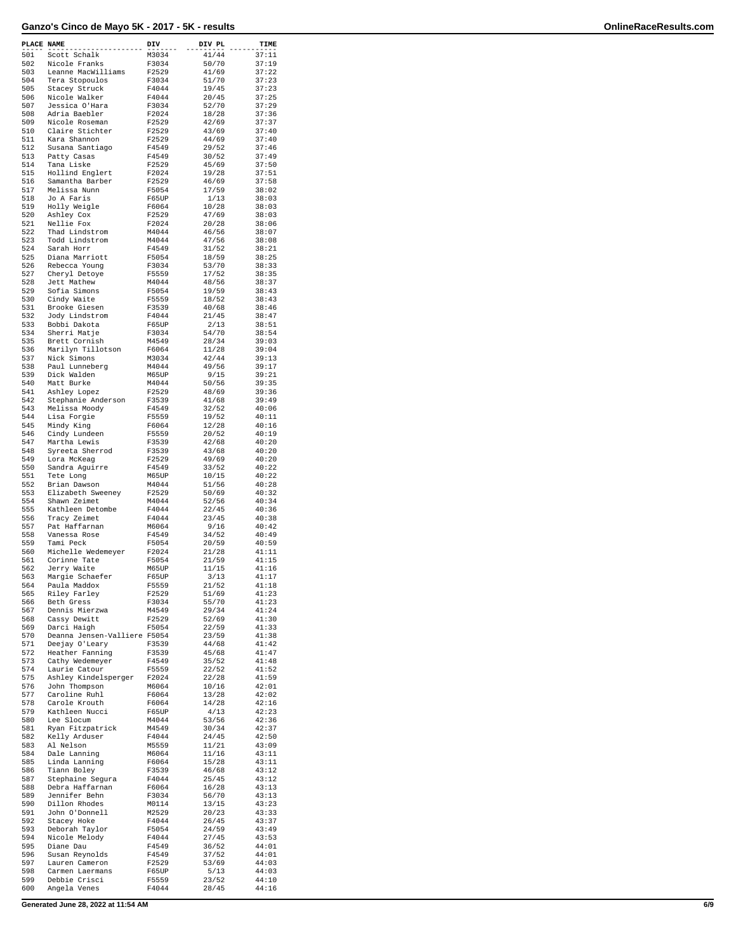| PLACE NAME |                                      | $_{---}^{\rm DIV}$ | DIV PL         | TIME           |
|------------|--------------------------------------|--------------------|----------------|----------------|
| 501        | Scott Schalk                         | M3034              | 41/44          | 37:11          |
| 502        | Nicole Franks                        | F3034              | 50/70          | 37:19          |
| 503<br>504 | Leanne MacWilliams<br>Tera Stopoulos | F2529<br>F3034     | 41/69<br>51/70 | 37:22<br>37:23 |
| 505        | Stacey Struck                        | F4044              | 19/45          | 37:23          |
| 506        | Nicole Walker                        | F4044              | 20/45          | 37:25          |
| 507<br>508 | Jessica O'Hara<br>Adria Baebler      | F3034<br>F2024     | 52/70          | 37:29          |
| 509        | Nicole Roseman                       | F2529              | 18/28<br>42/69 | 37:36<br>37:37 |
| 510        | Claire Stichter                      | F2529              | 43/69          | 37:40          |
| 511        | Kara Shannon                         | F2529              | 44/69          | 37:40          |
| 512<br>513 | Susana Santiago<br>Patty Casas       | F4549<br>F4549     | 29/52<br>30/52 | 37:46<br>37:49 |
| 514        | Tana Liske                           | F2529              | 45/69          | 37:50          |
| 515        | Hollind Englert                      | F2024              | 19/28          | 37:51          |
| 516<br>517 | Samantha Barber<br>Melissa Nunn      | F2529<br>F5054     | 46/69<br>17/59 | 37:58<br>38:02 |
| 518        | Jo A Faris                           | F65UP              | 1/13           | 38:03          |
| 519        | Holly Weigle                         | F6064              | 10/28          | 38:03          |
| 520<br>521 | Ashley Cox<br>Nellie Fox             | F2529<br>F2024     | 47/69<br>20/28 | 38:03<br>38:06 |
| 522        | Thad Lindstrom                       | M4044              | 46/56          | 38:07          |
| 523        | Todd Lindstrom                       | M4044              | 47/56          | 38:08          |
| 524<br>525 | Sarah Horr                           | F4549              | 31/52          | 38:21          |
| 526        | Diana Marriott<br>Rebecca Young      | F5054<br>F3034     | 18/59<br>53/70 | 38:25<br>38:33 |
| 527        | Cheryl Detoye                        | F5559              | 17/52          | 38:35          |
| 528        | Jett Mathew                          | M4044              | 48/56          | 38:37          |
| 529<br>530 | Sofia Simons<br>Cindy Waite          | F5054<br>F5559     | 19/59<br>18/52 | 38:43<br>38:43 |
| 531        | Brooke Giesen                        | F3539              | 40/68          | 38:46          |
| 532        | Jody Lindstrom                       | F4044              | 21/45          | 38:47          |
| 533        | Bobbi Dakota                         | F65UP              | 2/13           | 38:51          |
| 534<br>535 | Sherri Matje<br>Brett Cornish        | F3034<br>M4549     | 54/70<br>28/34 | 38:54<br>39:03 |
| 536        | Marilyn Tillotson                    | F6064              | 11/28          | 39:04          |
| 537        | Nick Simons                          | M3034              | 42/44          | 39:13          |
| 538        | Paul Lunneberg                       | M4044              | 49/56          | 39:17          |
| 539<br>540 | Dick Walden<br>Matt Burke            | M65UP<br>M4044     | 9/15<br>50/56  | 39:21<br>39:35 |
| 541        | Ashley Lopez                         | F2529              | 48/69          | 39:36          |
| 542        | Stephanie Anderson                   | F3539              | 41/68          | 39:49          |
| 543        | Melissa Moody                        | F4549              | 32/52          | 40:06          |
| 544<br>545 | Lisa Forgie<br>Mindy King            | F5559<br>F6064     | 19/52<br>12/28 | 40:11<br>40:16 |
| 546        | Cindy Lundeen                        | F5559              | 20/52          | 40:19          |
| 547        | Martha Lewis                         | F3539              | 42/68          | 40:20          |
| 548<br>549 | Syreeta Sherrod                      | F3539              | 43/68          | 40:20          |
| 550        | Lora McKeag<br>Sandra Aguirre        | F2529<br>F4549     | 49/69<br>33/52 | 40:20<br>40:22 |
| 551        | Tete Long                            | M65UP              | 10/15          | 40:22          |
| 552        | Brian Dawson                         | M4044              | 51/56          | 40:28          |
| 553<br>554 | Elizabeth Sweeney<br>Shawn Zeimet    | F2529<br>M4044     | 50/69<br>52/56 | 40:32<br>40:34 |
| 555        | Kathleen Detombe                     | F4044              | 22/45          | 40:36          |
| 556        | Tracy Zeimet                         | F4044              | 23/45          | 40:38          |
| 557        | Pat Haffarnan                        | M6064              | 9/16           | 40:42          |
| 558<br>559 | Vanessa Rose<br>Tami Peck            | F4549<br>F5054     | 34/52<br>20/59 | 40:49<br>40:59 |
| 560        | Michelle Wedemeyer                   | F2024              | 21/28          | 41:11          |
| 561        | Corinne Tate                         | F5054              | 21/59          | 41:15          |
| 562        | Jerry Waite                          | M65UP              | 11/15          | 41:16          |
| 563<br>564 | Margie Schaefer<br>Paula Maddox      | F65UP<br>F5559     | 3/13<br>21/52  | 41:17<br>41:18 |
| 565        | Riley Farley                         | F2529              | 51/69          | 41:23          |
| 566        | Beth Gress                           | F3034              | 55/70          | 41:23          |
| 567        | Dennis Mierzwa                       | M4549              | 29/34          | 41:24          |
| 568<br>569 | Cassy Dewitt<br>Darci Haigh          | F2529<br>F5054     | 52/69<br>22/59 | 41:30<br>41:33 |
| 570        | Deanna Jensen-Valliere F5054         |                    | 23/59          | 41:38          |
| 571        | Deejay O'Leary                       | F3539              | 44/68          | 41:42          |
| 572<br>573 | Heather Fanning<br>Cathy Wedemeyer   | F3539<br>F4549     | 45/68<br>35/52 | 41:47<br>41:48 |
| 574        | Laurie Catour                        | F5559              | 22/52          | 41:52          |
| 575        | Ashley Kindelsperger                 | F2024              | 22/28          | 41:59          |
| 576        | John Thompson                        | M6064              | 10/16          | 42:01          |
| 577<br>578 | Caroline Ruhl<br>Carole Krouth       | F6064<br>F6064     | 13/28<br>14/28 | 42:02<br>42:16 |
| 579        | Kathleen Nucci                       | F65UP              | 4/13           | 42:23          |
| 580        | Lee Slocum                           | M4044              | 53/56          | 42:36          |
| 581        | Ryan Fitzpatrick                     | M4549              | 30/34          | 42:37          |
| 582<br>583 | Kelly Arduser<br>Al Nelson           | F4044<br>M5559     | 24/45<br>11/21 | 42:50<br>43:09 |
| 584        | Dale Lanning                         | M6064              | 11/16          | 43:11          |
| 585        | Linda Lanning                        | F6064              | 15/28          | 43:11          |
| 586<br>587 | Tiann Boley<br>Stephaine Segura      | F3539<br>F4044     | 46/68<br>25/45 | 43:12<br>43:12 |
| 588        | Debra Haffarnan                      | F6064              | 16/28          | 43:13          |
| 589        | Jennifer Behn                        | F3034              | 56/70          | 43:13          |
| 590        | Dillon Rhodes                        | M0114              | 13/15          | 43:23          |
| 591<br>592 | John O'Donnell<br>Stacey Hoke        | M2529<br>F4044     | 20/23<br>26/45 | 43:33<br>43:37 |
| 593        | Deborah Taylor                       | F5054              | 24/59          | 43:49          |
| 594        | Nicole Melody                        | F4044              | 27/45          | 43:53          |
| 595        | Diane Dau                            | F4549              | 36/52          | 44:01          |
| 596<br>597 | Susan Reynolds<br>Lauren Cameron     | F4549<br>F2529     | 37/52<br>53/69 | 44:01<br>44:03 |
| 598        | Carmen Laermans                      | F65UP              | 5/13           | 44:03          |
| 599        | Debbie Crisci                        | F5559              | 23/52          | 44:10          |
| 600        | Angela Venes                         | F4044              | 28/45          | 44:16          |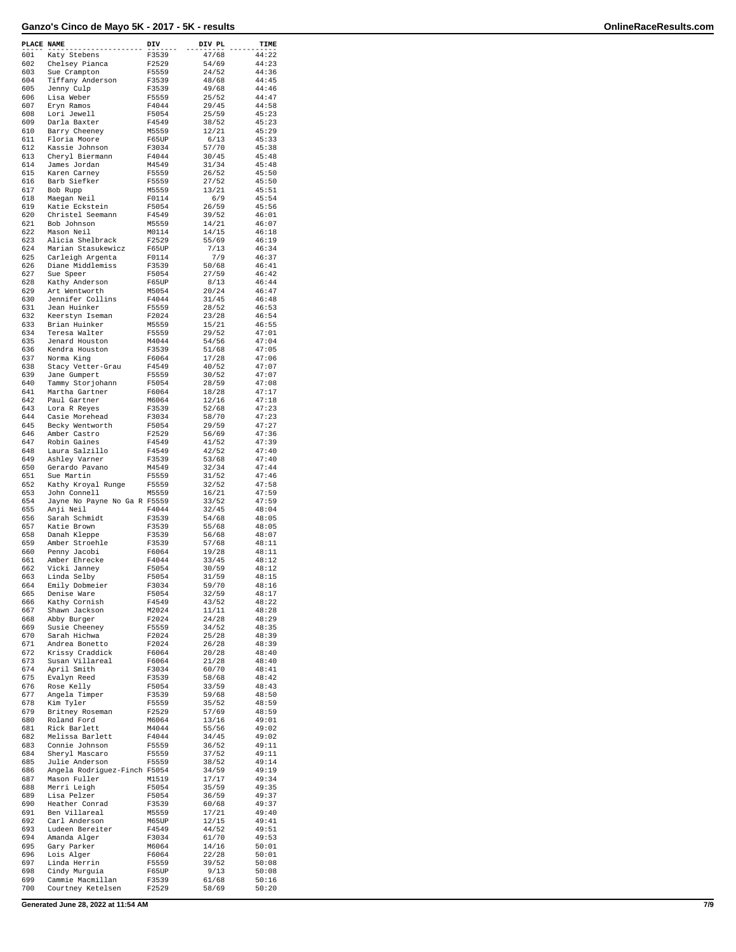| PLACE NAME |                                           | DIV            | DIV PL         | TIME           |
|------------|-------------------------------------------|----------------|----------------|----------------|
| 601        | Katy Stebens                              | F3539          | 47/68          | 44:22          |
| 602        | Chelsey Pianca                            | F2529          | 54/69          | 44:23          |
| 603<br>604 | Sue Crampton<br>Tiffany Anderson          | F5559<br>F3539 | 24/52<br>48/68 | 44:36<br>44:45 |
| 605        | Jenny Culp                                | F3539          | 49/68          | 44:46          |
| 606        | Lisa Weber                                | F5559          | 25/52          | 44:47          |
| 607<br>608 | Eryn Ramos<br>Lori Jewell                 | F4044<br>F5054 | 29/45<br>25/59 | 44:58<br>45:23 |
| 609        | Darla Baxter                              | F4549          | 38/52          | 45:23          |
| 610        | Barry Cheeney                             | M5559          | 12/21          | 45:29          |
| 611        | Floria Moore                              | F65UP          | 6/13<br>57/70  | 45:33          |
| 612<br>613 | Kassie Johnson<br>Cheryl Biermann         | F3034<br>F4044 | 30/45          | 45:38<br>45:48 |
| 614        | James Jordan                              | M4549          | 31/34          | 45:48          |
| 615        | Karen Carney                              | F5559<br>F5559 | 26/52          | 45:50          |
| 616<br>617 | Barb Siefker<br>Bob Rupp                  | M5559          | 27/52<br>13/21 | 45:50<br>45:51 |
| 618        | Maegan Neil                               | F0114          | 6/9            | 45:54          |
| 619        | Katie Eckstein                            | F5054          | 26/59          | 45:56          |
| 620<br>621 | Christel Seemann<br>Bob Johnson           | F4549<br>M5559 | 39/52<br>14/21 | 46:01<br>46:07 |
| 622        | Mason Neil                                | M0114          | 14/15          | 46:18          |
| 623        | Alicia Shelbrack                          | F2529          | 55/69          | 46:19          |
| 624<br>625 | Marian Stasukewicz<br>Carleigh Argenta    | F65UP<br>F0114 | 7/13<br>7/9    | 46:34<br>46:37 |
| 626        | Diane Middlemiss                          | F3539          | 50/68          | 46:41          |
| 627        | Sue Speer                                 | F5054          | 27/59          | 46:42          |
| 628<br>629 | Kathy Anderson<br>Art Wentworth           | F65UP<br>M5054 | 8/13<br>20/24  | 46:44<br>46:47 |
| 630        | Jennifer Collins                          | F4044          | 31/45          | 46:48          |
| 631        | Jean Huinker                              | F5559          | 28/52          | 46:53          |
| 632        | Keerstyn Iseman                           | F2024<br>M5559 | 23/28          | 46:54<br>46:55 |
| 633<br>634 | Brian Huinker<br>Teresa Walter            | F5559          | 15/21<br>29/52 | 47:01          |
| 635        | Jenard Houston                            | M4044          | 54/56          | 47:04          |
| 636        | Kendra Houston                            | F3539          | 51/68          | 47:05          |
| 637<br>638 | Norma King<br>Stacy Vetter-Grau           | F6064<br>F4549 | 17/28<br>40/52 | 47:06<br>47:07 |
| 639        | Jane Gumpert                              | F5559          | 30/52          | 47:07          |
| 640        | Tammy Storjohann                          | F5054          | 28/59          | 47:08          |
| 641<br>642 | Martha Gartner<br>Paul Gartner            | F6064<br>M6064 | 18/28<br>12/16 | 47:17<br>47:18 |
| 643        | Lora R Reyes                              | F3539          | 52/68          | 47:23          |
| 644        | Casie Morehead                            | F3034          | 58/70          | 47:23          |
| 645<br>646 | Becky Wentworth<br>Amber Castro           | F5054<br>F2529 | 29/59<br>56/69 | 47:27<br>47:36 |
| 647        | Robin Gaines                              | F4549          | 41/52          | 47:39          |
| 648        | Laura Salzillo                            | F4549          | 42/52          | 47:40          |
| 649<br>650 | Ashley Varner                             | F3539<br>M4549 | 53/68<br>32/34 | 47:40<br>47:44 |
| 651        | Gerardo Pavano<br>Sue Martin              | F5559          | 31/52          | 47:46          |
| 652        | Kathy Kroyal Runge                        | F5559          | 32/52          | 47:58          |
| 653        | John Connell                              | M5559          | 16/21          | 47:59          |
| 654<br>655 | Jayne No Payne No Ga R F5559<br>Anji Neil | F4044          | 33/52<br>32/45 | 47:59<br>48:04 |
| 656        | Sarah Schmidt                             | F3539          | 54/68          | 48:05          |
| 657        | Katie Brown                               | F3539          | 55/68          | 48:05          |
| 658<br>659 | Danah Kleppe<br>Amber Stroehle            | F3539<br>F3539 | 56/68<br>57/68 | 48:07<br>48:11 |
| 660        | Penny Jacobi                              | F6064          | 19/28          | 48:11          |
| 661        | Amber Ehrecke                             | F4044          | 33/45          | 48:12          |
| 662<br>663 | Vicki Janney<br>Linda Selby               | F5054<br>F5054 | 30/59<br>31/59 | 48:12<br>48:15 |
| 664        | Emily Dobmeier                            | F3034          | 59/70          | 48:16          |
| 665        | Denise Ware                               | F5054          | 32/59          | 48:17          |
| 666<br>667 | Kathy Cornish<br>Shawn Jackson            | F4549<br>M2024 | 43/52<br>11/11 | 48:22<br>48:28 |
| 668        | Abby Burger                               | F2024          | 24/28          | 48:29          |
| 669        | Susie Cheeney                             | F5559          | 34/52          | 48:35          |
| 670<br>671 | Sarah Hichwa<br>Andrea Bonetto            | F2024<br>F2024 | 25/28<br>26/28 | 48:39<br>48:39 |
| 672        | Krissy Craddick                           | F6064          | 20/28          | 48:40          |
| 673        | Susan Villareal                           | F6064          | 21/28          | 48:40          |
| 674<br>675 | April Smith<br>Evalyn Reed                | F3034<br>F3539 | 60/70<br>58/68 | 48:41<br>48:42 |
| 676        | Rose Kelly                                | F5054          | 33/59          | 48:43          |
| 677        | Angela Timper                             | F3539          | 59/68          | 48:50          |
| 678<br>679 | Kim Tyler                                 | F5559          | 35/52          | 48:59          |
| 680        | Britney Roseman<br>Roland Ford            | F2529<br>M6064 | 57/69<br>13/16 | 48:59<br>49:01 |
| 681        | Rick Barlett                              | M4044          | 55/56          | 49:02          |
| 682        | Melissa Barlett                           | F4044          | 34/45          | 49:02          |
| 683<br>684 | Connie Johnson<br>Sheryl Mascaro          | F5559<br>F5559 | 36/52<br>37/52 | 49:11<br>49:11 |
| 685        | Julie Anderson                            | F5559          | 38/52          | 49:14          |
| 686        | Angela Rodriguez-Finch F5054              |                | 34/59          | 49:19          |
| 687        | Mason Fuller                              | M1519<br>F5054 | 17/17          | 49:34<br>49:35 |
| 688<br>689 | Merri Leigh<br>Lisa Pelzer                | F5054          | 35/59<br>36/59 | 49:37          |
| 690        | Heather Conrad                            | F3539          | 60/68          | 49:37          |
| 691        | Ben Villareal                             | M5559          | 17/21          | 49:40          |
| 692<br>693 | Carl Anderson<br>Ludeen Bereiter          | M65UP<br>F4549 | 12/15<br>44/52 | 49:41<br>49:51 |
| 694        | Amanda Alger                              | F3034          | 61/70          | 49:53          |
| 695        | Gary Parker                               | M6064          | 14/16          | 50:01          |
| 696<br>697 | Lois Alger<br>Linda Herrin                | F6064<br>F5559 | 22/28<br>39/52 | 50:01<br>50:08 |
| 698        | Cindy Murguia                             | F65UP          | 9/13           | 50:08          |
| 699        | Cammie Macmillan                          | F3539          | 61/68          | 50:16          |
| 700        | Courtney Ketelsen                         | F2529          | 58/69          | 50:20          |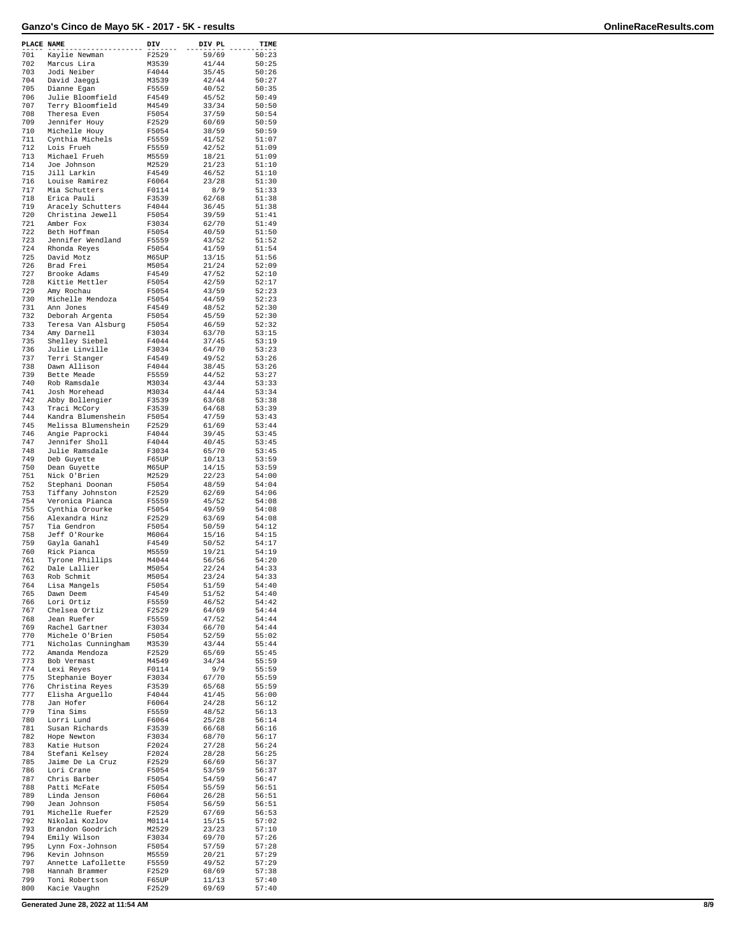| PLACE NAME |                                       | DIV            | DIV PL         | TIME           |
|------------|---------------------------------------|----------------|----------------|----------------|
| 701        | Kaylie Newman                         | F2529          | 59/69          | 50:23          |
| 702        | Marcus Lira                           | M3539          | 41/44          | 50:25          |
| 703<br>704 | Jodi Neiber<br>David Jaeggi           | F4044<br>M3539 | 35/45<br>42/44 | 50:26<br>50:27 |
| 705        | Dianne Egan                           | F5559          | 40/52          | 50:35          |
| 706        | Julie Bloomfield                      | F4549          | 45/52          | 50:49          |
| 707        | Terry Bloomfield                      | M4549          | 33/34          | 50:50          |
| 708<br>709 | Theresa Even<br>Jennifer Houy         | F5054<br>F2529 | 37/59<br>60/69 | 50:54<br>50:59 |
| 710        | Michelle Houy                         | F5054          | 38/59          | 50:59          |
| 711        | Cynthia Michels                       | F5559          | 41/52          | 51:07          |
| 712        | Lois Frueh                            | F5559          | 42/52          | 51:09          |
| 713<br>714 | Michael Frueh<br>Joe Johnson          | M5559<br>M2529 | 18/21<br>21/23 | 51:09<br>51:10 |
| 715        | Jill Larkin                           | F4549          | 46/52          | 51:10          |
| 716        | Louise Ramirez                        | F6064          | 23/28          | 51:30          |
| 717        | Mia Schutters                         | F0114          | 8/9            | 51:33          |
| 718<br>719 | Erica Pauli<br>Aracely Schutters      | F3539<br>F4044 | 62/68<br>36/45 | 51:38<br>51:38 |
| 720        | Christina Jewell                      | F5054          | 39/59          | 51:41          |
| 721        | Amber Fox                             | F3034          | 62/70          | 51:49          |
| 722<br>723 | Beth Hoffman                          | F5054<br>F5559 | 40/59<br>43/52 | 51:50<br>51:52 |
| 724        | Jennifer Wendland<br>Rhonda Reyes     | F5054          | 41/59          | 51:54          |
| 725        | David Motz                            | M65UP          | 13/15          | 51:56          |
| 726        | Brad Frei                             | M5054          | 21/24          | 52:09          |
| 727<br>728 | Brooke Adams<br>Kittie Mettler        | F4549<br>F5054 | 47/52<br>42/59 | 52:10<br>52:17 |
| 729        | Amy Rochau                            | F5054          | 43/59          | 52:23          |
| 730        | Michelle Mendoza                      | F5054          | 44/59          | 52:23          |
| 731        | Ann Jones                             | F4549          | 48/52          | 52:30          |
| 732<br>733 | Deborah Argenta<br>Teresa Van Alsburg | F5054<br>F5054 | 45/59<br>46/59 | 52:30<br>52:32 |
| 734        | Amy Darnell                           | F3034          | 63/70          | 53:15          |
| 735        | Shelley Siebel                        | F4044          | 37/45          | 53:19          |
| 736        | Julie Linville                        | F3034          | 64/70          | 53:23          |
| 737<br>738 | Terri Stanger<br>Dawn Allison         | F4549<br>F4044 | 49/52<br>38/45 | 53:26<br>53:26 |
| 739        | Bette Meade                           | F5559          | 44/52          | 53:27          |
| 740        | Rob Ramsdale                          | M3034          | 43/44          | 53:33          |
| 741        | Josh Morehead                         | M3034          | 44/44          | 53:34          |
| 742<br>743 | Abby Bollengier<br>Traci McCory       | F3539<br>F3539 | 63/68<br>64/68 | 53:38<br>53:39 |
| 744        | Kandra Blumenshein                    | F5054          | 47/59          | 53:43          |
| 745        | Melissa Blumenshein                   | F2529          | 61/69          | 53:44          |
| 746        | Angie Paprocki                        | F4044          | 39/45          | 53:45          |
| 747<br>748 | Jennifer Sholl<br>Julie Ramsdale      | F4044<br>F3034 | 40/45<br>65/70 | 53:45<br>53:45 |
| 749        | Deb Guyette                           | F65UP          | 10/13          | 53:59          |
| 750        | Dean Guyette                          | M65UP          | 14/15          | 53:59          |
| 751        | Nick O'Brien                          | M2529          | 22/23          | 54:00          |
| 752<br>753 | Stephani Doonan<br>Tiffany Johnston   | F5054<br>F2529 | 48/59<br>62/69 | 54:04<br>54:06 |
| 754        | Veronica Pianca                       | F5559          | 45/52          | 54:08          |
| 755        | Cynthia Orourke                       | F5054          | 49/59          | 54:08          |
| 756        | Alexandra Hinz                        | F2529          | 63/69          | 54:08          |
| 757<br>758 | Tia Gendron<br>Jeff O'Rourke          | F5054<br>M6064 | 50/59<br>15/16 | 54:12<br>54:15 |
| 759        | Gayla Ganahl                          | F4549          | 50/52          | 54:17          |
| 760        | Rick Pianca                           | M5559          | 19/21          | 54:19          |
| 761<br>762 | Tyrone Phillips                       | M4044          | 56/56          | 54:20          |
| 763        | Dale Lallier<br>Rob Schmit            | M5054<br>M5054 | 22/24<br>23/24 | 54:33<br>54:33 |
| 764        | Lisa Mangels                          | F5054          | 51/59          | 54:40          |
| 765        | Dawn Deem                             | F4549          | 51/52          | 54:40          |
| 766<br>767 | Lori Ortiz<br>Chelsea Ortiz           | F5559          | 46/52<br>64/69 | 54:42          |
| 768        | Jean Ruefer                           | F2529<br>F5559 | 47/52          | 54:44<br>54:44 |
| 769        | Rachel Gartner                        | F3034          | 66/70          | 54:44          |
| 770        | Michele O'Brien                       | F5054          | 52/59          | 55:02          |
| 771<br>772 | Nicholas Cunningham<br>Amanda Mendoza | M3539<br>F2529 | 43/44<br>65/69 | 55:44<br>55:45 |
| 773        | Bob Vermast                           | M4549          | 34/34          | 55:59          |
| 774        | Lexi Reyes                            | F0114          | 9/9            | 55:59          |
| 775        | Stephanie Boyer                       | F3034          | 67/70          | 55:59          |
| 776<br>777 | Christina Reyes<br>Elisha Arguello    | F3539<br>F4044 | 65/68<br>41/45 | 55:59<br>56:00 |
| 778        | Jan Hofer                             | F6064          | 24/28          | 56:12          |
| 779        | Tina Sims                             | F5559          | 48/52          | 56:13          |
| 780        | Lorri Lund                            | F6064          | 25/28          | 56:14          |
| 781<br>782 | Susan Richards<br>Hope Newton         | F3539<br>F3034 | 66/68<br>68/70 | 56:16<br>56:17 |
| 783        | Katie Hutson                          | F2024          | 27/28          | 56:24          |
| 784        | Stefani Kelsey                        | F2024          | 28/28          | 56:25          |
| 785        | Jaime De La Cruz                      | F2529          | 66/69          | 56:37          |
| 786<br>787 | Lori Crane<br>Chris Barber            | F5054<br>F5054 | 53/59<br>54/59 | 56:37<br>56:47 |
| 788        | Patti McFate                          | F5054          | 55/59          | 56:51          |
| 789        | Linda Jenson                          | F6064          | 26/28          | 56:51          |
| 790        | Jean Johnson                          | F5054          | 56/59          | 56:51          |
| 791<br>792 | Michelle Ruefer<br>Nikolai Kozlov     | F2529<br>M0114 | 67/69<br>15/15 | 56:53<br>57:02 |
| 793        | Brandon Goodrich                      | M2529          | 23/23          | 57:10          |
| 794        | Emily Wilson                          | F3034          | 69/70          | 57:26          |
| 795<br>796 | Lynn Fox-Johnson<br>Kevin Johnson     | F5054<br>M5559 | 57/59<br>20/21 | 57:28          |
| 797        | Annette Lafollette                    | F5559          | 49/52          | 57:29<br>57:29 |
| 798        | Hannah Brammer                        | F2529          | 68/69          | 57:38          |
| 799        | Toni Robertson                        | F65UP          | 11/13          | 57:40          |
| 800        | Kacie Vaughn                          | F2529          | 69/69          | 57:40          |

**Generated June 28, 2022 at 11:54 AM 8/9**